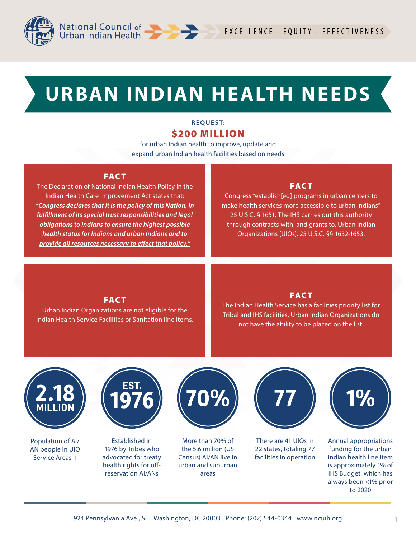

# **URBAN INDIAN HEALTH NEEDS**

# **REQUEST:** \$200 MILLION

for urban Indian health to improve, update and expand urban Indian health facilities based on needs

#### FACT

The Declaration of National Indian Health Policy in the Indian Health Care Improvement Act states that: *"Congress declares that it is the policy of this Nation, in fulfillment of its special trust responsibilities and legal obligations to Indians to ensure the highest possible health status for Indians and urban Indians and to provide all resources necessary to effect that policy."*

### FACT

Congress "establish[ed] programs in urban centers to make health services more accessible to urban Indians" 25 U.S.C. § 1651. The IHS carries out this authority through contracts with, and grants to, Urban Indian Organizations (UIOs). 25 U.S.C. §§ 1652-1653.

#### FACT

Urban Indian Organizations are not eligible for the Indian Health Service Facilities or Sanitation line items.

## FACT

The Indian Health Service has a facilities priority list for Tribal and IHS facilities. Urban Indian Organizations do not have the ability to be placed on the list.



Population of AI/ AN people in UIO Service Areas 1



Established in 1976 by Tribes who advocated for treaty health rights for offreservation AI/ANs



More than 70% of the 5.6 million [\(US](https://data.census.gov/cedsci/table?q=B02010&tid=ACSDT5Y2019.B02010&hidePreview=true)  [Census](https://data.census.gov/cedsci/table?q=B02010&tid=ACSDT5Y2019.B02010&hidePreview=true)) AI/AN live in urban and suburban areas



There are 41 UIOs in 22 states, totaling 77 facilities in operation



Annual appropriations funding for the urban Indian health line item is approximately 1% of IHS Budget, which has always been <1% prior to 2020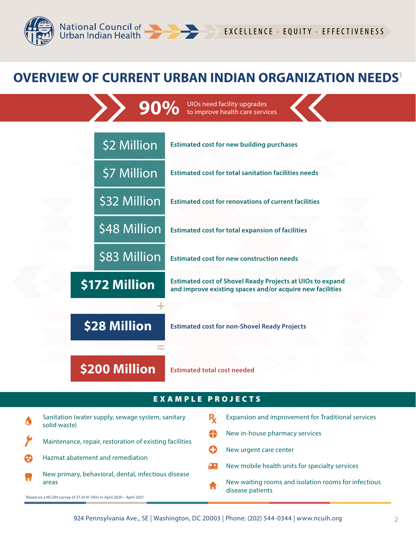

# **OVERVIEW OF CURRENT URBAN INDIAN ORGANIZATION NEEDS1**



## EXAMPLE PROJECTS

| $\bullet$ | Sanitation (water supply, sewage system, sanitary<br>solid waste)            |     | Expansion and improvement for Traditional services                       |
|-----------|------------------------------------------------------------------------------|-----|--------------------------------------------------------------------------|
|           | Maintenance, repair, restoration of existing facilities                      |     | New in-house pharmacy services                                           |
|           | Hazmat abatement and remediation                                             |     | New urgent care center                                                   |
|           | New primary, behavioral, dental, infectious disease                          | A N | New mobile health units for specialty services                           |
|           | areas<br>Based on a NCUIH survey of 37 of 41 UIOs in April 2020 - April 2021 |     | New waiting rooms and isolation rooms for infectious<br>disease patients |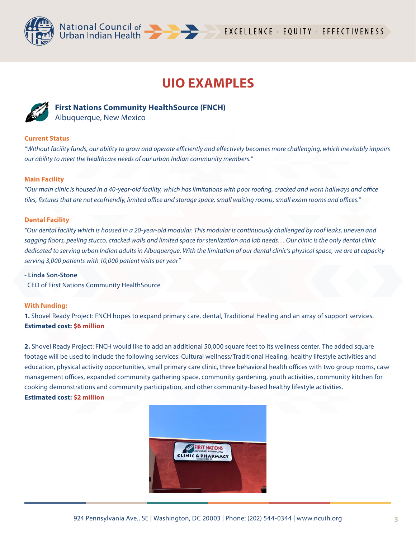

# **UIO EXAMPLES**



**First Nations Community HealthSource (FNCH)** Albuquerque, New Mexico

#### **Current Status**

*"Without facility funds, our ability to grow and operate efficiently and effectively becomes more challenging, which inevitably impairs our ability to meet the healthcare needs of our urban Indian community members."*

#### **Main Facility**

*"Our main clinic is housed in a 40-year-old facility, which has limitations with poor roofing, cracked and worn hallways and office tiles, fixtures that are not ecofriendly, limited office and storage space, small waiting rooms, small exam rooms and offices."*

#### **Dental Facility**

*"Our dental facility which is housed in a 20-year-old modular. This modular is continuously challenged by roof leaks, uneven and sagging floors, peeling stucco, cracked walls and limited space for sterilization and lab needs… Our clinic is the only dental clinic dedicated to serving urban Indian adults in Albuquerque. With the limitation of our dental clinic's physical space, we are at capacity serving 3,000 patients with 10,000 patient visits per year"*

**- Linda Son-Stone** CEO of First Nations Community HealthSource

#### **With funding:**

**1.** Shovel Ready Project: FNCH hopes to expand primary care, dental, Traditional Healing and an array of support services. **Estimated cost: \$6 million**

**2.** Shovel Ready Project: FNCH would like to add an additional 50,000 square feet to its wellness center. The added square footage will be used to include the following services: Cultural wellness/Traditional Healing, healthy lifestyle activities and education, physical activity opportunities, small primary care clinic, three behavioral health offices with two group rooms, case management offices, expanded community gathering space, community gardening, youth activities, community kitchen for cooking demonstrations and community participation, and other community-based healthy lifestyle activities. **Estimated cost: \$2 million**

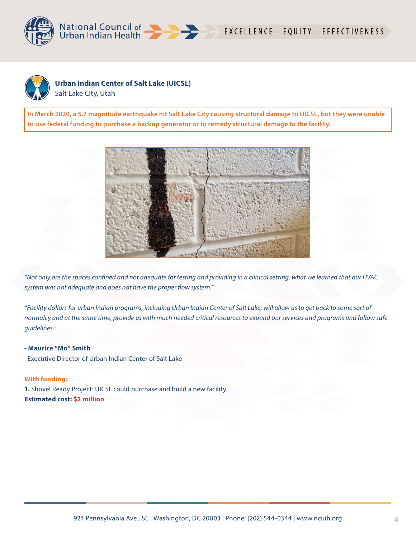

# EXCELLENCE · EQUITY · EFFECTIVENESS



**Urban Indian Center of Salt Lake (UICSL)**

Salt Lake City, Utah

**In March 2020, a 5.7 magnitude earthquake hit Salt Lake City causing structural damage to UICSL, but they were unable to use federal funding to purchase a backup generator or to remedy structural damage to the facility.**



*"Not only are the spaces confined and not adequate for testing and providing in a clinical setting, what we learned that our HVAC system was not adequate and does not have the proper flow system."*

*"Facility dollars for urban Indian programs, including Urban Indian Center of Salt Lake, will allow us to get back to some sort of normalcy and at the same time, provide us with much needed critical resources to expand our services and programs and follow safe guidelines."*

#### **- Maurice "Mo" Smith**

Executive Director of Urban Indian Center of Salt Lake

#### **With funding:**

**1.** Shovel Ready Project: UICSL could purchase and build a new facility. **Estimated cost: \$2 million**